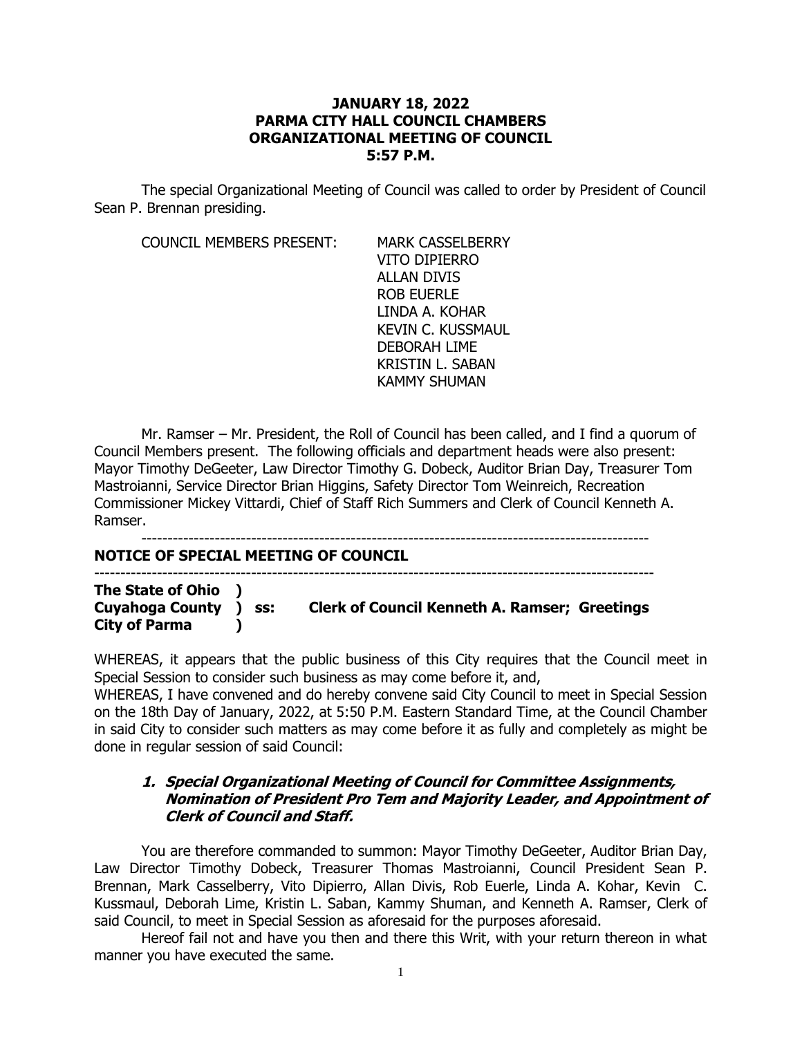### **JANUARY 18, 2022 PARMA CITY HALL COUNCIL CHAMBERS ORGANIZATIONAL MEETING OF COUNCIL 5:57 P.M.**

The special Organizational Meeting of Council was called to order by President of Council Sean P. Brennan presiding.

COUNCIL MEMBERS PRESENT: MARK CASSELBERRY

VITO DIPIERRO ALLAN DIVIS ROB EUERLE LINDA A. KOHAR KEVIN C. KUSSMAUL DEBORAH LIME KRISTIN L. SABAN KAMMY SHUMAN

Mr. Ramser – Mr. President, the Roll of Council has been called, and I find a quorum of Council Members present. The following officials and department heads were also present: Mayor Timothy DeGeeter, Law Director Timothy G. Dobeck, Auditor Brian Day, Treasurer Tom Mastroianni, Service Director Brian Higgins, Safety Director Tom Weinreich, Recreation Commissioner Mickey Vittardi, Chief of Staff Rich Summers and Clerk of Council Kenneth A. Ramser.

-------------------------------------------------------------------------------------------------

### **NOTICE OF SPECIAL MEETING OF COUNCIL**

-----------------------------------------------------------------------------------------------------------

**The State of Ohio ) Cuyahoga County ) ss: Clerk of Council Kenneth A. Ramser; Greetings City of Parma )**

WHEREAS, it appears that the public business of this City requires that the Council meet in Special Session to consider such business as may come before it, and,

WHEREAS, I have convened and do hereby convene said City Council to meet in Special Session on the 18th Day of January, 2022, at 5:50 P.M. Eastern Standard Time, at the Council Chamber in said City to consider such matters as may come before it as fully and completely as might be done in regular session of said Council:

## **1. Special Organizational Meeting of Council for Committee Assignments, Nomination of President Pro Tem and Majority Leader, and Appointment of Clerk of Council and Staff.**

You are therefore commanded to summon: Mayor Timothy DeGeeter, Auditor Brian Day, Law Director Timothy Dobeck, Treasurer Thomas Mastroianni, Council President Sean P. Brennan, Mark Casselberry, Vito Dipierro, Allan Divis, Rob Euerle, Linda A. Kohar, Kevin C. Kussmaul, Deborah Lime, Kristin L. Saban, Kammy Shuman, and Kenneth A. Ramser, Clerk of said Council, to meet in Special Session as aforesaid for the purposes aforesaid.

Hereof fail not and have you then and there this Writ, with your return thereon in what manner you have executed the same.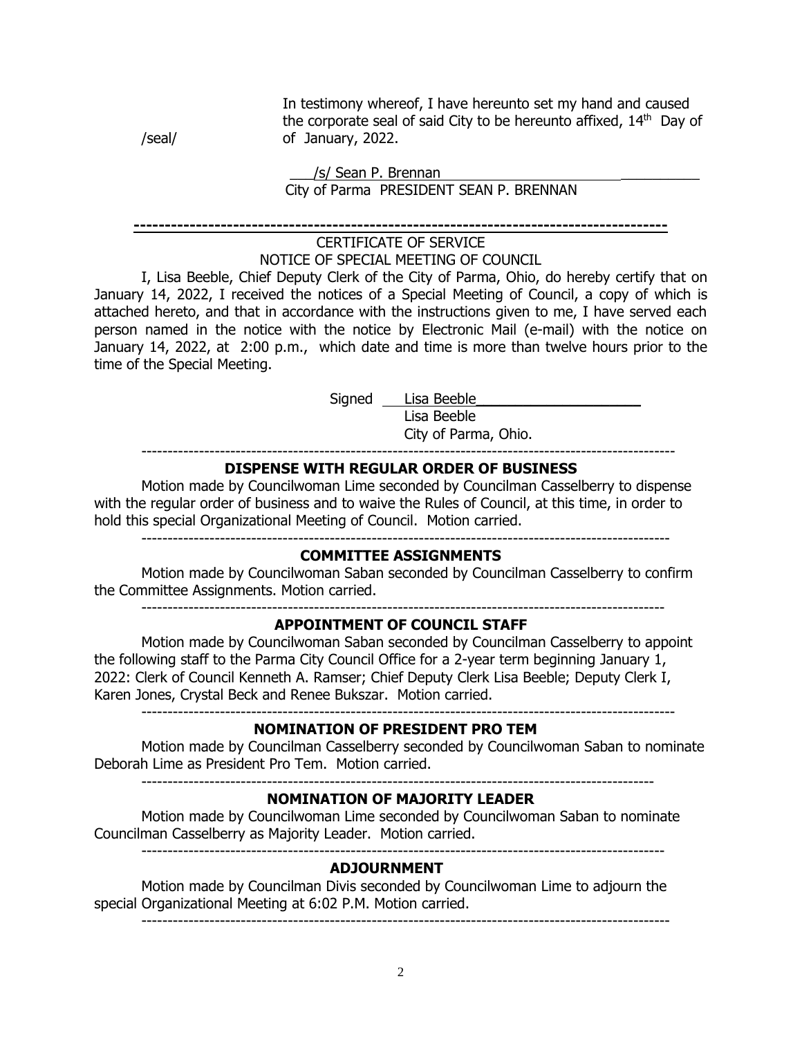In testimony whereof, I have hereunto set my hand and caused the corporate seal of said City to be hereunto affixed,  $14<sup>th</sup>$  Day of /seal/ of January, 2022.

### /s/ Sean P. Brennan City of Parma PRESIDENT SEAN P. BRENNAN

#### **--------------------------------------------------------------------------------------**

#### CERTIFICATE OF SERVICE NOTICE OF SPECIAL MEETING OF COUNCIL

I, Lisa Beeble, Chief Deputy Clerk of the City of Parma, Ohio, do hereby certify that on January 14, 2022, I received the notices of a Special Meeting of Council, a copy of which is attached hereto, and that in accordance with the instructions given to me, I have served each person named in the notice with the notice by Electronic Mail (e-mail) with the notice on January 14, 2022, at 2:00 p.m., which date and time is more than twelve hours prior to the time of the Special Meeting.

Signed Lisa Beeble

 Lisa Beeble City of Parma, Ohio.

------------------------------------------------------------------------------------------------------

## **DISPENSE WITH REGULAR ORDER OF BUSINESS**

Motion made by Councilwoman Lime seconded by Councilman Casselberry to dispense with the regular order of business and to waive the Rules of Council, at this time, in order to hold this special Organizational Meeting of Council. Motion carried.

-----------------------------------------------------------------------------------------------------

### **COMMITTEE ASSIGNMENTS**

Motion made by Councilwoman Saban seconded by Councilman Casselberry to confirm the Committee Assignments. Motion carried.

----------------------------------------------------------------------------------------------------

### **APPOINTMENT OF COUNCIL STAFF**

Motion made by Councilwoman Saban seconded by Councilman Casselberry to appoint the following staff to the Parma City Council Office for a 2-year term beginning January 1, 2022: Clerk of Council Kenneth A. Ramser; Chief Deputy Clerk Lisa Beeble; Deputy Clerk I, Karen Jones, Crystal Beck and Renee Bukszar. Motion carried.  $-$ 

**NOMINATION OF PRESIDENT PRO TEM**

Motion made by Councilman Casselberry seconded by Councilwoman Saban to nominate Deborah Lime as President Pro Tem. Motion carried.

--------------------------------------------------------------------------------------------------

### **NOMINATION OF MAJORITY LEADER**

Motion made by Councilwoman Lime seconded by Councilwoman Saban to nominate Councilman Casselberry as Majority Leader. Motion carried.

----------------------------------------------------------------------------------------------------

### **ADJOURNMENT**

Motion made by Councilman Divis seconded by Councilwoman Lime to adjourn the special Organizational Meeting at 6:02 P.M. Motion carried.

-----------------------------------------------------------------------------------------------------